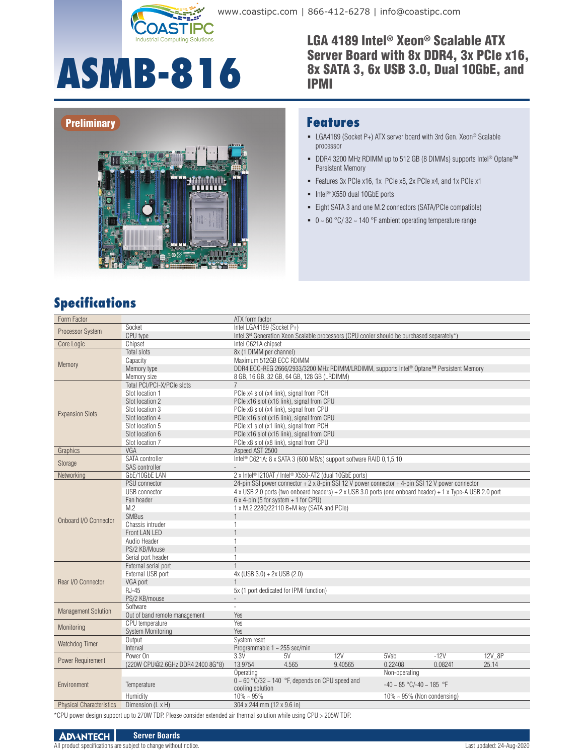

**ASMB-816**

www.coastipc.com | 866-412-6278 | info@coastipc.com

LGA 4189 Intel® Xeon® Scalable ATX Server Board with 8x DDR4, 3x PCIe x16, 8x SATA 3, 6x USB 3.0, Dual 10GbE, and IPMI

#### **Preliminary**



#### **Features**

- LGA4189 (Socket P+) ATX server board with 3rd Gen. Xeon® Scalable processor
- DDR4 3200 MHz RDIMM up to 512 GB (8 DIMMs) supports Intel<sup>®</sup> Optane™ Persistent Memory
- Features 3x PCIe x16, 1x PCIe x8, 2x PCIe x4, and 1x PCIe x1
- $\blacksquare$  Intel<sup>®</sup> X550 dual 10GbE ports
- Eight SATA 3 and one M.2 connectors (SATA/PCIe compatible)
- $\bullet$  0 ~ 60 °C/32 ~ 140 °F ambient operating temperature range

### **Specifications**

| Form Factor                     |                                              | ATX form factor                                                                                                     |  |  |  |  |  |
|---------------------------------|----------------------------------------------|---------------------------------------------------------------------------------------------------------------------|--|--|--|--|--|
|                                 | Socket                                       | Intel LGA4189 (Socket P+)                                                                                           |  |  |  |  |  |
| Processor System                | CPU type                                     | Intel 3rd Generation Xeon Scalable processors (CPU cooler should be purchased separately*)                          |  |  |  |  |  |
| Core Logic                      | Chipset                                      | Intel C621A chipset                                                                                                 |  |  |  |  |  |
|                                 | <b>Total slots</b>                           | 8x (1 DIMM per channel)                                                                                             |  |  |  |  |  |
|                                 | Capacity                                     | Maximum 512GB ECC RDIMM                                                                                             |  |  |  |  |  |
| Memory                          | Memory type                                  | DDR4 ECC-REG 2666/2933/3200 MHz RDIMM/LRDIMM, supports Intel® Optane™ Persistent Memory                             |  |  |  |  |  |
|                                 | Memory size                                  | 8 GB, 16 GB, 32 GB, 64 GB, 128 GB (LRDIMM)                                                                          |  |  |  |  |  |
|                                 | Total PCI/PCI-X/PCIe slots                   |                                                                                                                     |  |  |  |  |  |
|                                 | Slot location 1                              | PCle x4 slot (x4 link), signal from PCH                                                                             |  |  |  |  |  |
|                                 | Slot location 2                              | PCle x16 slot (x16 link), signal from CPU                                                                           |  |  |  |  |  |
| <b>Expansion Slots</b>          | Slot location 3                              | PCle x8 slot (x4 link), signal from CPU                                                                             |  |  |  |  |  |
|                                 | Slot location 4                              | PCle x16 slot (x16 link), signal from CPU                                                                           |  |  |  |  |  |
|                                 | Slot location 5                              | PCle x1 slot (x1 link), signal from PCH                                                                             |  |  |  |  |  |
|                                 | Slot location 6                              | PCle x16 slot (x16 link), signal from CPU                                                                           |  |  |  |  |  |
|                                 | Slot location 7                              | PCle x8 slot (x8 link), signal from CPU                                                                             |  |  |  |  |  |
| Graphics                        | VGA                                          | Aspeed AST 2500                                                                                                     |  |  |  |  |  |
| Storage                         | SATA controller                              | Intel <sup>®</sup> C621A: 8 x SATA 3 (600 MB/s) support software RAID 0.1.5.10                                      |  |  |  |  |  |
|                                 | SAS controller                               |                                                                                                                     |  |  |  |  |  |
| Networking                      | GbE/10GbE LAN                                | 2 x Intel <sup>®</sup> I210AT / Intel <sup>®</sup> X550-AT2 (dual 10GbE ports)                                      |  |  |  |  |  |
|                                 | PSU connector                                | 24-pin SSI power connector + 2 x 8-pin SSI 12 V power connector + 4-pin SSI 12 V power connector                    |  |  |  |  |  |
|                                 | USB connector                                | 4 x USB 2.0 ports (two onboard headers) + 2 x USB 3.0 ports (one onboard header) + 1 x Type-A USB 2.0 port          |  |  |  |  |  |
|                                 | Fan header<br>M.2                            | $6 \times 4$ -pin (5 for system + 1 for CPU)<br>1 x M.2 2280/22110 B+M key (SATA and PCIe)                          |  |  |  |  |  |
|                                 | <b>SMBus</b>                                 |                                                                                                                     |  |  |  |  |  |
| Onboard I/O Connector           | Chassis intruder                             | 1                                                                                                                   |  |  |  |  |  |
|                                 | Front LAN LED                                |                                                                                                                     |  |  |  |  |  |
|                                 | Audio Header                                 | 1                                                                                                                   |  |  |  |  |  |
|                                 | PS/2 KB/Mouse                                |                                                                                                                     |  |  |  |  |  |
|                                 | Serial port header                           | 1                                                                                                                   |  |  |  |  |  |
|                                 | External serial port                         |                                                                                                                     |  |  |  |  |  |
|                                 | External USB port                            | $4x$ (USB 3.0) + 2x USB (2.0)                                                                                       |  |  |  |  |  |
| Rear I/O Connector              | VGA port                                     |                                                                                                                     |  |  |  |  |  |
|                                 | <b>RJ-45</b>                                 | 5x (1 port dedicated for IPMI function)                                                                             |  |  |  |  |  |
|                                 | PS/2 KB/mouse                                |                                                                                                                     |  |  |  |  |  |
| <b>Management Solution</b>      | Software                                     |                                                                                                                     |  |  |  |  |  |
|                                 | Out of band remote management                | Yes                                                                                                                 |  |  |  |  |  |
| Monitoring                      | CPU temperature                              | Yes                                                                                                                 |  |  |  |  |  |
|                                 | <b>System Monitoring</b>                     | Yes                                                                                                                 |  |  |  |  |  |
| Watchdog Timer                  | Output                                       | System reset                                                                                                        |  |  |  |  |  |
|                                 | Interval                                     | Programmable 1 ~ 255 sec/min<br>12V                                                                                 |  |  |  |  |  |
| Power Requirement               | Power On<br>(220W CPU@2.6GHz DDR4 2400 8G*8) | 3.3V<br>5Vsb<br>$-12V$<br>12V 8P<br>5V<br>13.9754<br>4.565<br>9.40565<br>0.22408<br>0.08241<br>25.14                |  |  |  |  |  |
| Environment                     |                                              | Operating<br>Non-operating                                                                                          |  |  |  |  |  |
|                                 |                                              | $0 \sim 60$ °C/32 $\sim$ 140 °F, depends on CPU speed and<br>$-40 \sim 85$ °C/-40 $\sim 185$ °F<br>cooling solution |  |  |  |  |  |
|                                 | Temperature                                  |                                                                                                                     |  |  |  |  |  |
|                                 | Humidity                                     | $10\% \sim 95\%$<br>$10\% \sim 95\%$ (Non condensing)                                                               |  |  |  |  |  |
| <b>Physical Characteristics</b> | Dimension (L x H)                            | 304 x 244 mm (12 x 9.6 in)                                                                                          |  |  |  |  |  |

\*CPU power design support up to 270W TDP. Please consider extended air thermal solution while using CPU > 205W TDP.

#### **ADVANTECH Server Boards**

All product specifications are subject to change without notice. Last updated: 24-Aug-2020